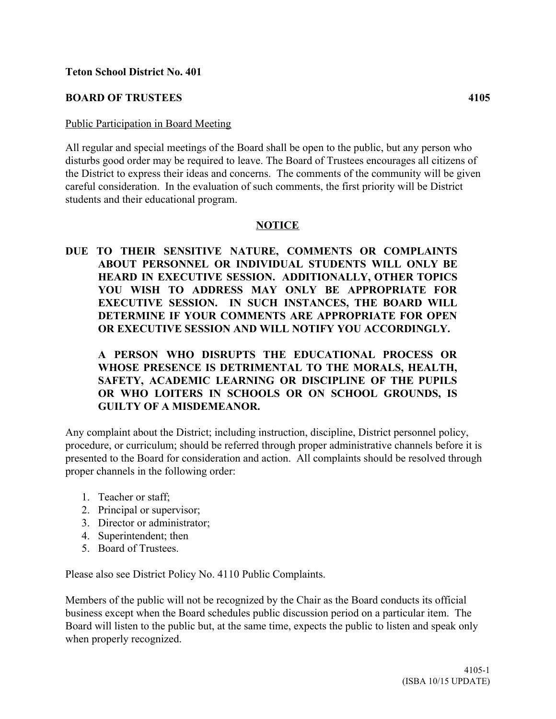### **Teton School District No. 401**

## **BOARD OF TRUSTEES 4105**

#### Public Participation in Board Meeting

All regular and special meetings of the Board shall be open to the public, but any person who disturbs good order may be required to leave. The Board of Trustees encourages all citizens of the District to express their ideas and concerns. The comments of the community will be given careful consideration. In the evaluation of such comments, the first priority will be District students and their educational program.

#### **NOTICE**

**DUE TO THEIR SENSITIVE NATURE, COMMENTS OR COMPLAINTS ABOUT PERSONNEL OR INDIVIDUAL STUDENTS WILL ONLY BE HEARD IN EXECUTIVE SESSION. ADDITIONALLY, OTHER TOPICS YOU WISH TO ADDRESS MAY ONLY BE APPROPRIATE FOR EXECUTIVE SESSION. IN SUCH INSTANCES, THE BOARD WILL DETERMINE IF YOUR COMMENTS ARE APPROPRIATE FOR OPEN OR EXECUTIVE SESSION AND WILL NOTIFY YOU ACCORDINGLY.** 

# **A PERSON WHO DISRUPTS THE EDUCATIONAL PROCESS OR WHOSE PRESENCE IS DETRIMENTAL TO THE MORALS, HEALTH, SAFETY, ACADEMIC LEARNING OR DISCIPLINE OF THE PUPILS OR WHO LOITERS IN SCHOOLS OR ON SCHOOL GROUNDS, IS GUILTY OF A MISDEMEANOR.**

Any complaint about the District; including instruction, discipline, District personnel policy, procedure, or curriculum; should be referred through proper administrative channels before it is presented to the Board for consideration and action. All complaints should be resolved through proper channels in the following order:

- 1. Teacher or staff;
- 2. Principal or supervisor;
- 3. Director or administrator;
- 4. Superintendent; then
- 5. Board of Trustees.

Please also see District Policy No. 4110 Public Complaints.

Members of the public will not be recognized by the Chair as the Board conducts its official business except when the Board schedules public discussion period on a particular item. The Board will listen to the public but, at the same time, expects the public to listen and speak only when properly recognized.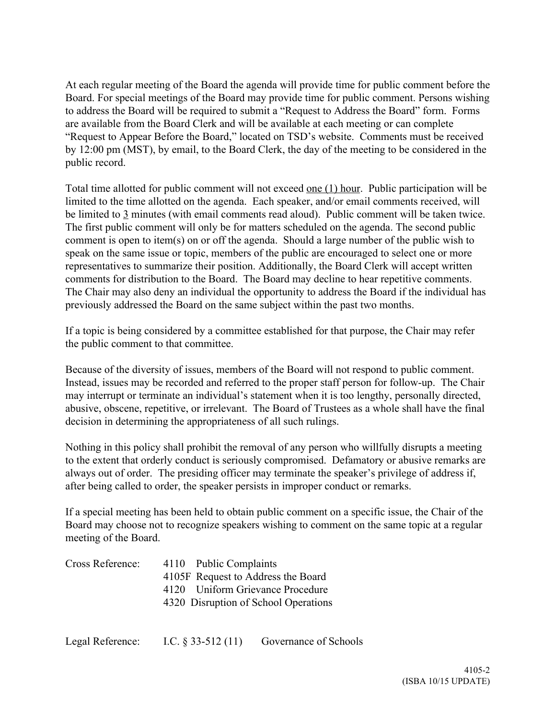At each regular meeting of the Board the agenda will provide time for public comment before the Board. For special meetings of the Board may provide time for public comment. Persons wishing to address the Board will be required to submit a "Request to Address the Board" form. Forms are available from the Board Clerk and will be available at each meeting or can complete "Request to Appear Before the Board," located on TSD's website. Comments must be received by 12:00 pm (MST), by email, to the Board Clerk, the day of the meeting to be considered in the public record.

Total time allotted for public comment will not exceed one (1) hour. Public participation will be limited to the time allotted on the agenda. Each speaker, and/or email comments received, will be limited to  $\frac{3}{2}$  minutes (with email comments read aloud). Public comment will be taken twice. The first public comment will only be for matters scheduled on the agenda. The second public comment is open to item(s) on or off the agenda. Should a large number of the public wish to speak on the same issue or topic, members of the public are encouraged to select one or more representatives to summarize their position. Additionally, the Board Clerk will accept written comments for distribution to the Board. The Board may decline to hear repetitive comments. The Chair may also deny an individual the opportunity to address the Board if the individual has previously addressed the Board on the same subject within the past two months.

If a topic is being considered by a committee established for that purpose, the Chair may refer the public comment to that committee.

Because of the diversity of issues, members of the Board will not respond to public comment. Instead, issues may be recorded and referred to the proper staff person for follow-up. The Chair may interrupt or terminate an individual's statement when it is too lengthy, personally directed, abusive, obscene, repetitive, or irrelevant. The Board of Trustees as a whole shall have the final decision in determining the appropriateness of all such rulings.

Nothing in this policy shall prohibit the removal of any person who willfully disrupts a meeting to the extent that orderly conduct is seriously compromised. Defamatory or abusive remarks are always out of order. The presiding officer may terminate the speaker's privilege of address if, after being called to order, the speaker persists in improper conduct or remarks.

If a special meeting has been held to obtain public comment on a specific issue, the Chair of the Board may choose not to recognize speakers wishing to comment on the same topic at a regular meeting of the Board.

| Cross Reference: | 4110 Public Complaints               |  |
|------------------|--------------------------------------|--|
|                  | 4105F Request to Address the Board   |  |
|                  | 4120 Uniform Grievance Procedure     |  |
|                  | 4320 Disruption of School Operations |  |
|                  |                                      |  |
|                  |                                      |  |

| Legal Reference: | I.C. $§$ 33-512 (11) | Governance of Schools |
|------------------|----------------------|-----------------------|
|------------------|----------------------|-----------------------|